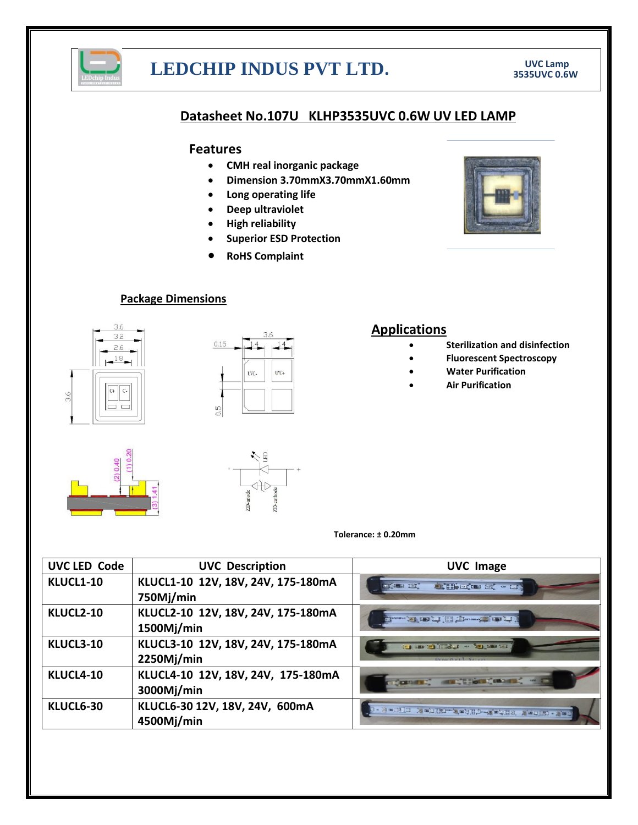

# **LEDCHIP INDUS PVT LTD. UVC Lamp UVC Lamp 199535UVC 0.6W**

### **Datasheet No.107U KLHP3535UVC 0.6W UV LED LAMP**

### **Features**

- **CMH real inorganic package**
- **Dimension 3.70mmX3.70mmX1.60mm**
- **Long operating life**
- **Deep ultraviolet**
- **High reliability**
- **Superior ESD Protection**
- **RoHS Complaint**



### **Package Dimensions**





## **Applications**

- **Sterilization and disinfection**
- **Fluorescent Spectroscopy**
- **Water Purification**
- **Air Purification**





#### **Tolerance: ± 0.20mm**

| <b>UVC LED Code</b> | <b>UVC Description</b>                           | <b>UVC Image</b>                                                                                                                                                                                                                                                          |
|---------------------|--------------------------------------------------|---------------------------------------------------------------------------------------------------------------------------------------------------------------------------------------------------------------------------------------------------------------------------|
| KLUCL1-10           | KLUCL1-10 12V, 18V, 24V, 175-180mA<br>750Mj/min  | <b>ALCOHOL:</b> when<br>on the tar                                                                                                                                                                                                                                        |
| KLUCL2-10           | KLUCL2-10 12V, 18V, 24V, 175-180mA<br>1500Mj/min | <b>LUITE AND LUITE SCHOOL AND LUITE AND LUITE AND LUITE AND LUITE AND LUITE AND LUITE AND LUITE AND LUITE AND LUI</b>                                                                                                                                                     |
| KLUCL3-10           | KLUCL3-10 12V, 18V, 24V, 175-180mA<br>2250Mj/min | <b>THE REPORT OF LAND THE REPORT OF LAND AND LAND THE REPORT OF LAND AND THE REPORT OF LAND AND THE REPORT OF LAND AND REPORT OF LAND AND REPORT OF LAND AND REPORT OF LAND AND REPORT OF LAND AND REPORT OF LAND AND REPORT OF </b><br>$D_{\text{max}}$ $D_{\text{min}}$ |
| KLUCL4-10           | KLUCL4-10 12V, 18V, 24V, 175-180mA<br>3000Mj/min | <b>CONTROL MECHANICALIST - IT</b>                                                                                                                                                                                                                                         |
| KLUCL6-30           | KLUCL6-30 12V, 18V, 24V, 600mA<br>4500Mj/min     | <b>のまんまの出版の「一部主義」と呼ばれるというのは、この中国の「一部」という</b>                                                                                                                                                                                                                              |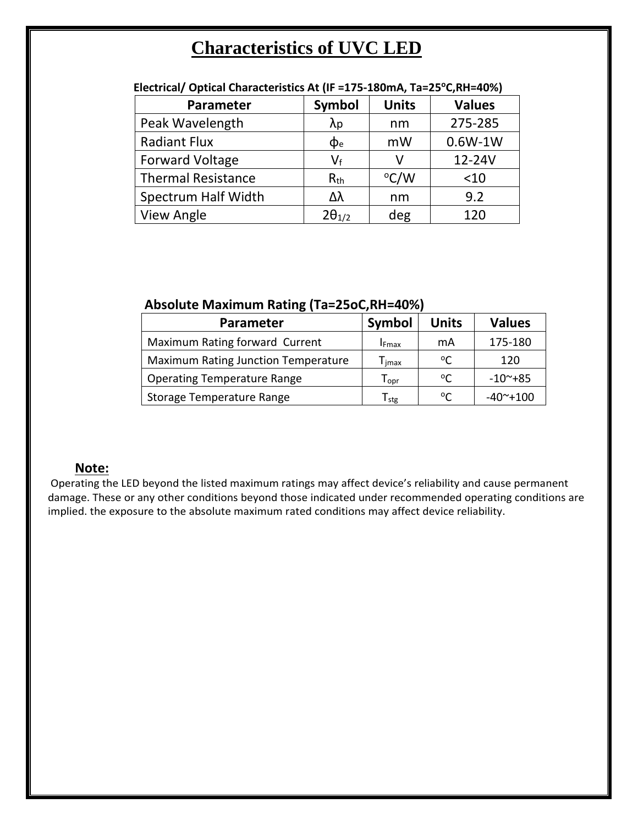# **Characteristics of UVC LED**

| Symbol          | <b>Units</b>  | <b>Values</b> |
|-----------------|---------------|---------------|
| $\lambda$ p     | nm            | 275-285       |
| $\Phi$ e        | mW            | $0.6W-1W$     |
| $V_f$           | v             | 12-24V        |
| $R_{th}$        | $\rm ^{o}C/W$ | $<$ 10        |
| Δλ              | nm            | 9.2           |
| $2\theta_{1/2}$ | deg           | 120           |
|                 |               |               |

### **Electrical/ Optical Characteristics At (IF =175-180mA, Ta=25<sup>o</sup>C,RH=40%)**

## **Absolute Maximum Rating (Ta=25oC,RH=40%)**

| Parameter                                  | Symbol                             | <b>Units</b> | <b>Values</b>          |
|--------------------------------------------|------------------------------------|--------------|------------------------|
| Maximum Rating forward Current             | <b>I</b> Fmax                      | mA           | 175-180                |
| <b>Maximum Rating Junction Temperature</b> | $\Gamma_{\mathsf{I} \mathsf{max}}$ | $^{\circ}$   | 120                    |
| <b>Operating Temperature Range</b>         | $\mathsf{T}_{\mathsf{opr}}$        | $^{\circ}$ C | $-10$ <sup>~</sup> +85 |
| Storage Temperature Range                  | $\mathsf{T}_{\mathsf{stg}}$        | $^{\circ}$ C | $-40^\sim + 100$       |

# **Note:**

Operating the LED beyond the listed maximum ratings may affect device's reliability and cause permanent damage. These or any other conditions beyond those indicated under recommended operating conditions are implied. the exposure to the absolute maximum rated conditions may affect device reliability.